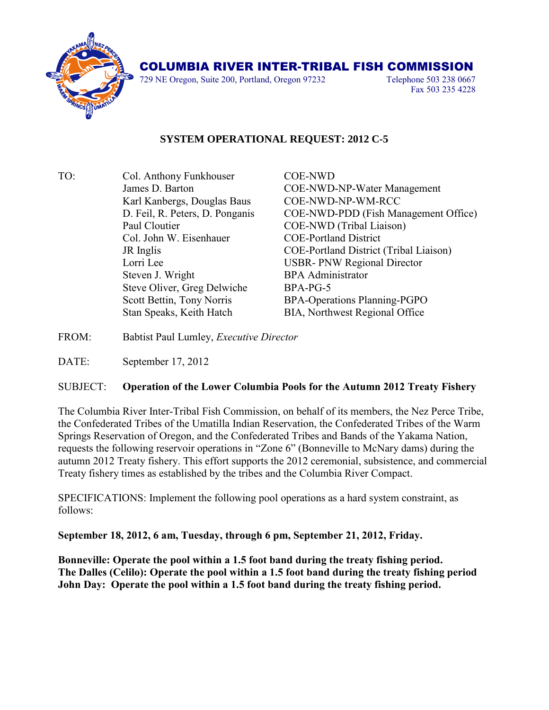

## COLUMBIA RIVER INTER-TRIBAL FISH COMMISSION

729 NE Oregon, Suite 200, Portland, Oregon 97232 Telephone 503 238 0667

Fax 503 235 4228

## **SYSTEM OPERATIONAL REQUEST: 2012 C-5**

- TO: Col. Anthony Funkhouser COE-NWD James D. Barton COE-NWD-NP-Water Management Karl Kanbergs, Douglas Baus COE-NWD-NP-WM-RCC D. Feil, R. Peters, D. Ponganis COE-NWD-PDD (Fish Management Office) Paul Cloutier COE-NWD (Tribal Liaison) Col. John W. Eisenhauer COE-Portland District JR Inglis COE-Portland District (Tribal Liaison) Lorri Lee USBR- PNW Regional Director Steven J. Wright BPA Administrator Steve Oliver, Greg Delwiche BPA-PG-5 Scott Bettin, Tony Norris BPA-Operations Planning-PGPO Stan Speaks, Keith Hatch BIA, Northwest Regional Office
- FROM: Babtist Paul Lumley, *Executive Director*

DATE: September 17, 2012

## SUBJECT: **Operation of the Lower Columbia Pools for the Autumn 2012 Treaty Fishery**

The Columbia River Inter-Tribal Fish Commission, on behalf of its members, the Nez Perce Tribe, the Confederated Tribes of the Umatilla Indian Reservation, the Confederated Tribes of the Warm Springs Reservation of Oregon, and the Confederated Tribes and Bands of the Yakama Nation, requests the following reservoir operations in "Zone 6" (Bonneville to McNary dams) during the autumn 2012 Treaty fishery. This effort supports the 2012 ceremonial, subsistence, and commercial Treaty fishery times as established by the tribes and the Columbia River Compact.

SPECIFICATIONS: Implement the following pool operations as a hard system constraint, as follows:

**September 18, 2012, 6 am, Tuesday, through 6 pm, September 21, 2012, Friday.**

**Bonneville: Operate the pool within a 1.5 foot band during the treaty fishing period. The Dalles (Celilo): Operate the pool within a 1.5 foot band during the treaty fishing period John Day: Operate the pool within a 1.5 foot band during the treaty fishing period.**